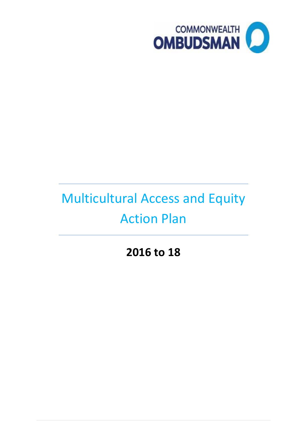

# Multicultural Access and Equity Action Plan

**2016 to 18**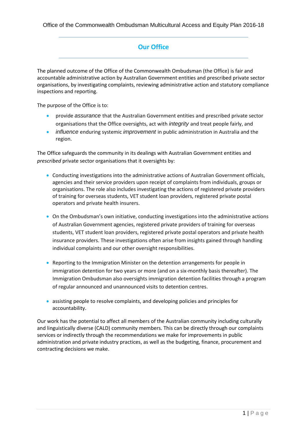#### **Our Office**

The planned outcome of the Office of the Commonwealth Ombudsman (the Office) is fair and accountable administrative action by Australian Government entities and prescribed private sector organisations, by investigating complaints, reviewing administrative action and statutory compliance inspections and reporting.

The purpose of the Office is to:

- provide *assurance* that the Australian Government entities and prescribed private sector organisations that the Office oversights, act with *integrity* and treat people fairly, and
- *influence* enduring systemic *improvement* in public administration in Australia and the region.

The Office safeguards the community in its dealings with Australian Government entities and *prescribed* private sector organisations that it oversights by:

- Conducting investigations into the administrative actions of Australian Government officials, agencies and their service providers upon receipt of complaints from individuals, groups or organisations. The role also includes investigating the actions of registered private providers of training for overseas students, VET student loan providers, registered private postal operators and private health insurers.
- On the Ombudsman's own initiative, conducting investigations into the administrative actions of Australian Government agencies, registered private providers of training for overseas students, VET student loan providers, registered private postal operators and private health insurance providers. These investigations often arise from insights gained through handling individual complaints and our other oversight responsibilities.
- Reporting to the Immigration Minister on the detention arrangements for people in immigration detention for two years or more (and on a six-monthly basis thereafter). The Immigration Ombudsman also oversights immigration detention facilities through a program of regular announced and unannounced visits to detention centres.
- assisting people to resolve complaints, and developing policies and principles for accountability.

Our work has the potential to affect all members of the Australian community including culturally and linguistically diverse (CALD) community members. This can be directly through our complaints services or indirectly through the recommendations we make for improvements in public administration and private industry practices, as well as the budgeting, finance, procurement and contracting decisions we make.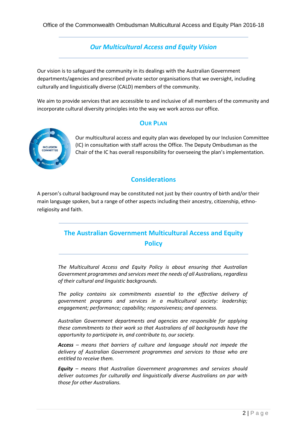#### *Our Multicultural Access and Equity Vision*

Our vision is to safeguard the community in its dealings with the Australian Government departments/agencies and prescribed private sector organisations that we oversight, including culturally and linguistically diverse (CALD) members of the community.

We aim to provide services that are accessible to and inclusive of all members of the community and incorporate cultural diversity principles into the way we work across our office.

# **OUR PLAN**



Our multicultural access and equity plan was developed by our Inclusion Committee (IC) in consultation with staff across the Office. The Deputy Ombudsman as the Chair of the IC has overall responsibility for overseeing the plan's implementation.

#### **Considerations**

A person's cultural background may be constituted not just by their country of birth and/or their main language spoken, but a range of other aspects including their ancestry, citizenship, ethnoreligiosity and faith.

# **The Australian Government Multicultural Access and Equity Policy**

*The Multicultural Access and Equity Policy is about ensuring that Australian Government programmes and services meet the needs of all Australians, regardless of their cultural and linguistic backgrounds.*

*The policy contains six commitments essential to the effective delivery of government programs and services in a multicultural society: leadership; engagement; performance; capability; responsiveness; and openness.*

*Australian Government departments and agencies are responsible for applying these commitments to their work so that Australians of all backgrounds have the opportunity to participate in, and contribute to, our society.*

*Access – means that barriers of culture and language should not impede the delivery of Australian Government programmes and services to those who are entitled to receive them.*

*Equity – means that Australian Government programmes and services should deliver outcomes for culturally and linguistically diverse Australians on par with those for other Australians.*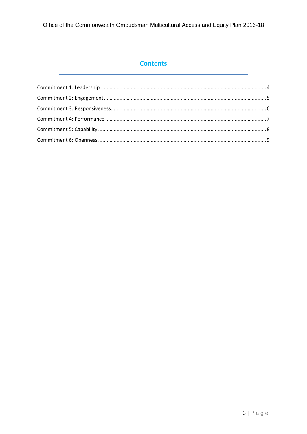Office of the Commonwealth Ombudsman Multicultural Access and Equity Plan 2016-18

## **Contents**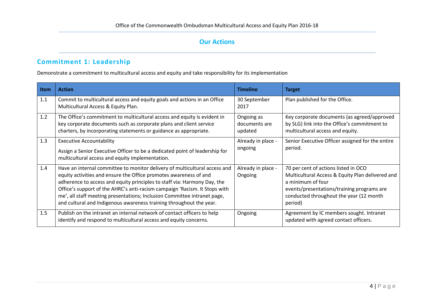## **Commitment 1: Leadership**

Demonstrate a commitment to multicultural access and equity and take responsibility for its implementation

<span id="page-4-1"></span><span id="page-4-0"></span>

| <b>Item</b> | <b>Action</b>                                                                                                                                                                                                                                                                                                                                                                                                                                                | <b>Timeline</b>                        | <b>Target</b>                                                                                                                                                                                                     |
|-------------|--------------------------------------------------------------------------------------------------------------------------------------------------------------------------------------------------------------------------------------------------------------------------------------------------------------------------------------------------------------------------------------------------------------------------------------------------------------|----------------------------------------|-------------------------------------------------------------------------------------------------------------------------------------------------------------------------------------------------------------------|
| 1.1         | Commit to multicultural access and equity goals and actions in an Office<br>Multicultural Access & Equity Plan.                                                                                                                                                                                                                                                                                                                                              | 30 September<br>2017                   | Plan published for the Office.                                                                                                                                                                                    |
| 1.2         | The Office's commitment to multicultural access and equity is evident in<br>key corporate documents such as corporate plans and client service<br>charters, by incorporating statements or guidance as appropriate.                                                                                                                                                                                                                                          | Ongoing as<br>documents are<br>updated | Key corporate documents (as agreed/approved<br>by SLG) link into the Office's commitment to<br>multicultural access and equity.                                                                                   |
| 1.3         | <b>Executive Accountability</b><br>Assign a Senior Executive Officer to be a dedicated point of leadership for<br>multicultural access and equity implementation.                                                                                                                                                                                                                                                                                            | Already in place -<br>ongoing          | Senior Executive Officer assigned for the entire<br>period.                                                                                                                                                       |
| 1.4         | Have an internal committee to monitor delivery of multicultural access and<br>equity activities and ensure the Office promotes awareness of and<br>adherence to access and equity principles to staff via: Harmony Day, the<br>Office's support of the AHRC's anti-racism campaign 'Racism. It Stops with<br>me', all staff meeting presentations; Inclusion Committee intranet page,<br>and cultural and Indigenous awareness training throughout the year. | Already in place -<br>Ongoing          | 70 per cent of actions listed in OCO<br>Multicultural Access & Equity Plan delivered and<br>a minimum of four<br>events/presentations/training programs are<br>conducted throughout the year (12 month<br>period) |
| 1.5         | Publish on the intranet an internal network of contact officers to help<br>identify and respond to multicultural access and equity concerns.                                                                                                                                                                                                                                                                                                                 | Ongoing                                | Agreement by IC members sought. Intranet<br>updated with agreed contact officers.                                                                                                                                 |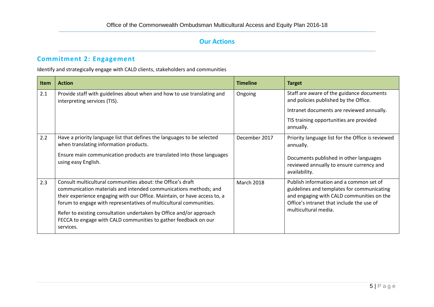## **Commitment 2: Engagement**

Identify and strategically engage with CALD clients, stakeholders and communities

<span id="page-5-0"></span>

| <b>Item</b> | <b>Action</b>                                                                                                                                                                                                                                                                      | <b>Timeline</b>   | <b>Target</b>                                                                                                                                                                   |
|-------------|------------------------------------------------------------------------------------------------------------------------------------------------------------------------------------------------------------------------------------------------------------------------------------|-------------------|---------------------------------------------------------------------------------------------------------------------------------------------------------------------------------|
| 2.1         | Provide staff with guidelines about when and how to use translating and<br>interpreting services (TIS).                                                                                                                                                                            | Ongoing           | Staff are aware of the guidance documents<br>and policies published by the Office.                                                                                              |
|             |                                                                                                                                                                                                                                                                                    |                   | Intranet documents are reviewed annually.                                                                                                                                       |
|             |                                                                                                                                                                                                                                                                                    |                   | TIS training opportunities are provided<br>annually.                                                                                                                            |
| 2.2         | Have a priority language list that defines the languages to be selected<br>when translating information products.                                                                                                                                                                  | December 2017     | Priority language list for the Office is reviewed<br>annually.                                                                                                                  |
|             | Ensure main communication products are translated into those languages<br>using easy English.                                                                                                                                                                                      |                   | Documents published in other languages<br>reviewed annually to ensure currency and<br>availability.                                                                             |
| 2.3         | Consult multicultural communities about: the Office's draft<br>communication materials and intended communications methods; and<br>their experience engaging with our Office. Maintain, or have access to, a<br>forum to engage with representatives of multicultural communities. | <b>March 2018</b> | Publish information and a common set of<br>guidelines and templates for communicating<br>and engaging with CALD communities on the<br>Office's intranet that include the use of |
|             | Refer to existing consultation undertaken by Office and/or approach<br>FECCA to engage with CALD communities to gather feedback on our<br>services.                                                                                                                                |                   | multicultural media.                                                                                                                                                            |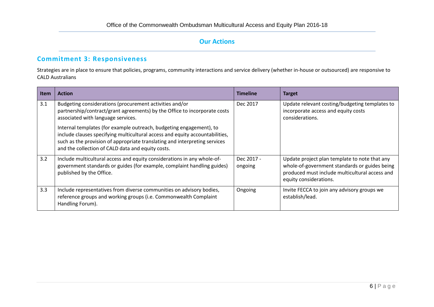#### **Commitment 3: Responsiveness**

Strategies are in place to ensure that policies, programs, community interactions and service delivery (whether in-house or outsourced) are responsive to CALD Australians

<span id="page-6-0"></span>

| <b>Item</b> | <b>Action</b>                                                                                                                                                                                                                                                                                                                                                                                                                                                        | <b>Timeline</b>       | <b>Target</b>                                                                                                                                                              |
|-------------|----------------------------------------------------------------------------------------------------------------------------------------------------------------------------------------------------------------------------------------------------------------------------------------------------------------------------------------------------------------------------------------------------------------------------------------------------------------------|-----------------------|----------------------------------------------------------------------------------------------------------------------------------------------------------------------------|
| 3.1         | Budgeting considerations (procurement activities and/or<br>partnership/contract/grant agreements) by the Office to incorporate costs<br>associated with language services.<br>Internal templates (for example outreach, budgeting engagement), to<br>include clauses specifying multicultural access and equity accountabilities,<br>such as the provision of appropriate translating and interpreting services<br>and the collection of CALD data and equity costs. | Dec 2017              | Update relevant costing/budgeting templates to<br>incorporate access and equity costs<br>considerations.                                                                   |
| 3.2         | Include multicultural access and equity considerations in any whole-of-<br>government standards or guides (for example, complaint handling guides)<br>published by the Office.                                                                                                                                                                                                                                                                                       | Dec 2017 -<br>ongoing | Update project plan template to note that any<br>whole-of-government standards or guides being<br>produced must include multicultural access and<br>equity considerations. |
| 3.3         | Include representatives from diverse communities on advisory bodies,<br>reference groups and working groups (i.e. Commonwealth Complaint<br>Handling Forum).                                                                                                                                                                                                                                                                                                         | Ongoing               | Invite FECCA to join any advisory groups we<br>establish/lead.                                                                                                             |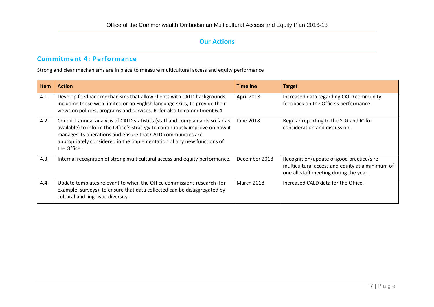#### **Commitment 4: Performance**

Strong and clear mechanisms are in place to measure multicultural access and equity performance

<span id="page-7-0"></span>

| <b>Item</b> | <b>Action</b>                                                                                                                                                                                                                                                                                                        | <b>Timeline</b>   | <b>Target</b>                                                                                                                         |
|-------------|----------------------------------------------------------------------------------------------------------------------------------------------------------------------------------------------------------------------------------------------------------------------------------------------------------------------|-------------------|---------------------------------------------------------------------------------------------------------------------------------------|
| 4.1         | Develop feedback mechanisms that allow clients with CALD backgrounds,<br>including those with limited or no English language skills, to provide their<br>views on policies, programs and services. Refer also to commitment 6.4.                                                                                     | April 2018        | Increased data regarding CALD community<br>feedback on the Office's performance.                                                      |
| 4.2         | Conduct annual analysis of CALD statistics (staff and complainants so far as<br>available) to inform the Office's strategy to continuously improve on how it<br>manages its operations and ensure that CALD communities are<br>appropriately considered in the implementation of any new functions of<br>the Office. | June 2018         | Regular reporting to the SLG and IC for<br>consideration and discussion.                                                              |
| 4.3         | Internal recognition of strong multicultural access and equity performance.                                                                                                                                                                                                                                          | December 2018     | Recognition/update of good practice/s re<br>multicultural access and equity at a minimum of<br>one all-staff meeting during the year. |
| 4.4         | Update templates relevant to when the Office commissions research (for<br>example, surveys), to ensure that data collected can be disaggregated by<br>cultural and linguistic diversity.                                                                                                                             | <b>March 2018</b> | Increased CALD data for the Office.                                                                                                   |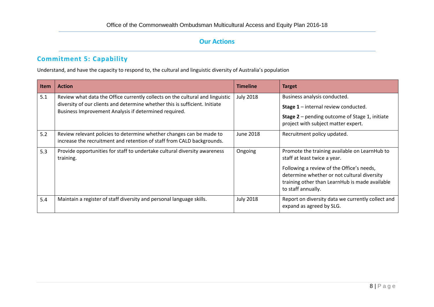## **Commitment 5: Capability**

Understand, and have the capacity to respond to, the cultural and linguistic diversity of Australia's population

<span id="page-8-0"></span>

| Item | <b>Action</b>                                                                                                                                                                                                         | <b>Timeline</b>  | <b>Target</b>                                                                                                                                                                                                                                     |
|------|-----------------------------------------------------------------------------------------------------------------------------------------------------------------------------------------------------------------------|------------------|---------------------------------------------------------------------------------------------------------------------------------------------------------------------------------------------------------------------------------------------------|
| 5.1  | Review what data the Office currently collects on the cultural and linguistic<br>diversity of our clients and determine whether this is sufficient. Initiate<br>Business Improvement Analysis if determined required. | <b>July 2018</b> | Business analysis conducted.<br><b>Stage 1</b> – internal review conducted.<br><b>Stage 2</b> – pending outcome of Stage 1, initiate<br>project with subject matter expert.                                                                       |
| 5.2  | Review relevant policies to determine whether changes can be made to<br>increase the recruitment and retention of staff from CALD backgrounds.                                                                        | June 2018        | Recruitment policy updated.                                                                                                                                                                                                                       |
| 5.3  | Provide opportunities for staff to undertake cultural diversity awareness<br>training.                                                                                                                                | Ongoing          | Promote the training available on LearnHub to<br>staff at least twice a year.<br>Following a review of the Office's needs,<br>determine whether or not cultural diversity<br>training other than LearnHub is made available<br>to staff annually. |
| 5.4  | Maintain a register of staff diversity and personal language skills.                                                                                                                                                  | <b>July 2018</b> | Report on diversity data we currently collect and<br>expand as agreed by SLG.                                                                                                                                                                     |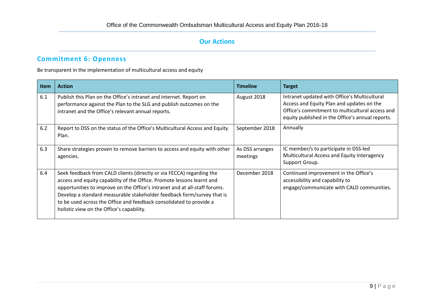# **Commitment 6: Openness**

Be transparent in the implementation of multicultural access and equity

| Item | <b>Action</b>                                                                                                                                                                                                                                                                                                                                                                                                               | <b>Timeline</b>             | <b>Target</b>                                                                                                                                                                                    |
|------|-----------------------------------------------------------------------------------------------------------------------------------------------------------------------------------------------------------------------------------------------------------------------------------------------------------------------------------------------------------------------------------------------------------------------------|-----------------------------|--------------------------------------------------------------------------------------------------------------------------------------------------------------------------------------------------|
| 6.1  | Publish this Plan on the Office's intranet and internet. Report on<br>performance against the Plan to the SLG and publish outcomes on the<br>intranet and the Office's relevant annual reports.                                                                                                                                                                                                                             | August 2018                 | Intranet updated with Office's Multicultural<br>Access and Equity Plan and updates on the<br>Office's commitment to multicultural access and<br>equity published in the Office's annual reports. |
| 6.2  | Report to DSS on the status of the Office's Multicultural Access and Equity<br>Plan.                                                                                                                                                                                                                                                                                                                                        | September 2018              | Annually                                                                                                                                                                                         |
| 6.3  | Share strategies proven to remove barriers to access and equity with other<br>agencies.                                                                                                                                                                                                                                                                                                                                     | As DSS arranges<br>meetings | IC member/s to participate in DSS-led<br>Multicultural Access and Equity Interagency<br>Support Group.                                                                                           |
| 6.4  | Seek feedback from CALD clients (directly or via FECCA) regarding the<br>access and equity capability of the Office. Promote lessons learnt and<br>opportunities to improve on the Office's intranet and at all-staff forums.<br>Develop a standard measurable stakeholder feedback form/survey that is<br>to be used across the Office and feedback consolidated to provide a<br>holistic view on the Office's capability. | December 2018               | Continued improvement in the Office's<br>accessibility and capability to<br>engage/communicate with CALD communities.                                                                            |